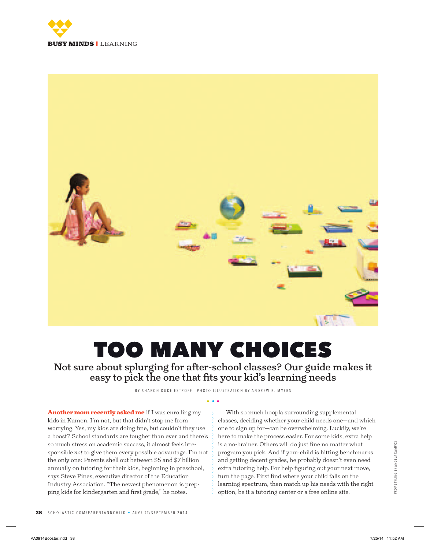



# too many choices

Not sure about splurging for after-school classes? Our guide makes it easy to pick the one that fits your kid's learning needs

BY SHARON DUKE ESTROFF PHOTO ILLUSTRATION BY ANDREW B. MYERS

Another mom recently asked me if I was enrolling my kids in Kumon. I'm not, but that didn't stop me from worrying. Yes, my kids are doing fine, but couldn't they use a boost? School standards are tougher than ever and there's so much stress on academic success, it almost feels irresponsible *not* to give them every possible advantage. I'm not the only one: Parents shell out between \$5 and \$7 billion annually on tutoring for their kids, beginning in preschool, says Steve Pines, executive director of the Education Industry Association. "The newest phenomenon is prepping kids for kindergarten and first grade," he notes.

With so much hoopla surrounding supplemental classes, deciding whether your child needs one—and which one to sign up for—can be overwhelming. Luckily, we're here to make the process easier. For some kids, extra help is a no-brainer. Others will do just fine no matter what program you pick. And if your child is hitting benchmarks and getting decent grades, he probably doesn't even need extra tutoring help. For help figuring out your next move, turn the page. First find where your child falls on the learning spectrum, then match up his needs with the right option, be it a tutoring center or a free online site.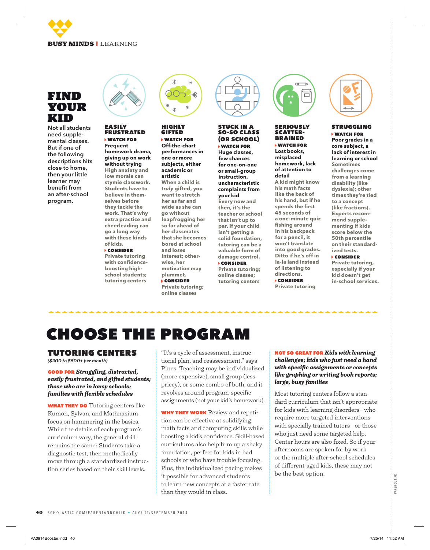

# find your kid

Not all students need supplemental classes. But if one of the following descriptions hits close to home, then your little learner may benefit from an after-school program.



#### easily **FRUSTRATED** watch for

**Frequent homework drama, giving up on work without trying High anxiety and low morale can stymie classwork. Students have to believe in themselves before they tackle the work. That's why extra practice and cheerleading can go a long way with these kinds of kids.** 

#### consider **Private tutoring**

**with confidenceboosting highschool students; tutoring centers** 



# highly gifted

 watch for **Off-the-chart performances in one or more subjects, either academic or artistic When a child is**  *truly* **gifted, you want to stretch her as far and wide as she can go without leapfrogging her so far ahead of her classmates that she becomes bored at school and loses interest; otherwise, her motivation may plummet.**

 consider **Private tutoring; online classes**



### stuck in a so-so class (or school)

 watch for **Huge classes, few chances for one-on-one or small-group instruction, uncharacteristic complaints from your kid Every now and then, it's the teacher or school that isn't up to par. If your child isn't getting a solid foundation, tutoring can be a valuable form of damage control.** consider

**Private tutoring; online classes; tutoring centers**



# SERIOUS<mark>LY</mark><br>SCATTER-**BRAINED**

 watch for **Lost books, misplaced homework, lack of attention to detail**

**A kid might know his math facts like the back of his hand, but if he spends the first 45 seconds of a one-minute quiz fishing around in his backpack for a pencil, it won't translate into good grades. Ditto if he's off in la-la land instead of listening to directions.** consider **Private tutoring**



### struggling watch for

**Poor grades in a core subject, a lack of interest in learning or school Sometimes challenges come from a learning disability (like dyslexia); other times they're tied to a concept (like fractions). Experts recommend supplementing if kids score below the 50th percentile on their standardized tests.** consider

**Private tutoring, especially if your kid doesn't get in-school services.**

# choose the program

### tutoring centers

*(\$200 to \$500+ per month)*

### good for *Struggling, distracted, easily frustrated, and gifted students; those who are in lousy schools; families with flexible schedules*

**WHAT THEY DO** Tutoring centers like Kumon, Sylvan, and Mathnasium focus on hammering in the basics. While the details of each program's curriculum vary, the general drill remains the same: Students take a diagnostic test, then methodically move through a standardized instruction series based on their skill levels.

"It's a cycle of assessment, instructional plan, and reassessment," says Pines. Teaching may be individualized (more expensive), small group (less pricey), or some combo of both, and it revolves around program-specific assignments (not your kid's homework).

WHY THEY WORK Review and repetition can be effective at solidifying math facts and computing skills while boosting a kid's confidence. Skill-based curriculums also help firm up a shaky foundation, perfect for kids in bad schools or who have trouble focusing. Plus, the individualized pacing makes it possible for advanced students to learn new concepts at a faster rate than they would in class.

### not so great for *Kids with learning challenges; kids who just need a hand with specific assignments or concepts like graphing or writing book reports; large, busy families*

Most tutoring centers follow a standard curriculum that isn't appropriate for kids with learning disorders—who require more targeted interventions with specially trained tutors—or those who just need some targeted help. Center hours are also fixed. So if your afternoons are spoken for by work or the multiple after-school schedules of different-aged kids, these may not be the best option.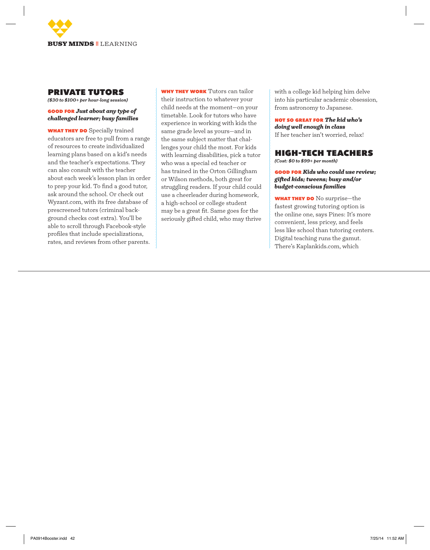

### private tutors

*(\$30 to \$100+ per hour-long session)*

### good for *Just about any type of challenged learner; busy families*

**WHAT THEY DO** Specially trained educators are free to pull from a range of resources to create individualized learning plans based on a kid's needs and the teacher's expectations. They can also consult with the teacher about each week's lesson plan in order to prep your kid. To find a good tutor, ask around the school. Or check out Wyzant.com, with its free database of prescreened tutors (criminal background checks cost extra). You'll be able to scroll through Facebook-style profiles that include specializations, rates, and reviews from other parents.

why they work Tutors can tailor their instruction to whatever your child needs at the moment—on your timetable. Look for tutors who have experience in working with kids the same grade level as yours—and in the same subject matter that challenges your child the most. For kids with learning disabilities, pick a tutor who was a special ed teacher or has trained in the Orton Gillingham or Wilson methods, both great for struggling readers. If your child could use a cheerleader during homework, a high-school or college student may be a great fit. Same goes for the seriously gifted child, who may thrive

with a college kid helping him delve into his particular academic obsession, from astronomy to Japanese.

not so great for *The kid who's doing well enough in class* If her teacher isn't worried, relax!

# high-tech teachers

*(Cost: \$0 to \$99+ per month)*

good for *Kids who could use review; gifted kids; tweens; busy and/or budget-conscious families*

WHAT THEY DO No surprise-the fastest growing tutoring option is the online one, says Pines: It's more convenient, less pricey, and feels less like school than tutoring centers. Digital teaching runs the gamut. There's Kaplankids.com, which